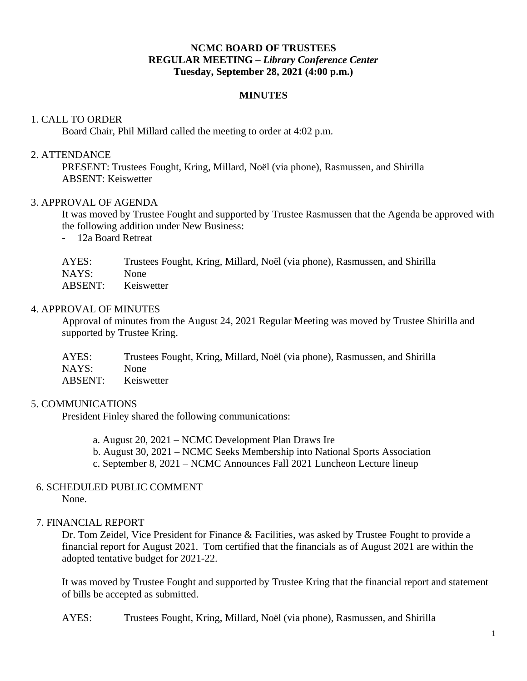# **NCMC BOARD OF TRUSTEES REGULAR MEETING –** *Library Conference Center* **Tuesday, September 28, 2021 (4:00 p.m.)**

### **MINUTES**

### 1. CALL TO ORDER

Board Chair, Phil Millard called the meeting to order at 4:02 p.m.

#### 2. ATTENDANCE

PRESENT: Trustees Fought, Kring, Millard, Noël (via phone), Rasmussen, and Shirilla ABSENT: Keiswetter

#### 3. APPROVAL OF AGENDA

It was moved by Trustee Fought and supported by Trustee Rasmussen that the Agenda be approved with the following addition under New Business:

- 12a Board Retreat

| AYES:   | Trustees Fought, Kring, Millard, Noël (via phone), Rasmussen, and Shirilla |
|---------|----------------------------------------------------------------------------|
| NAYS:   | <b>None</b>                                                                |
| ABSENT: | Keiswetter                                                                 |

#### 4. APPROVAL OF MINUTES

Approval of minutes from the August 24, 2021 Regular Meeting was moved by Trustee Shirilla and supported by Trustee Kring.

| AYES:   | Trustees Fought, Kring, Millard, Noël (via phone), Rasmussen, and Shirilla |
|---------|----------------------------------------------------------------------------|
| NAYS:   | <b>None</b>                                                                |
| ABSENT: | Keiswetter                                                                 |

### 5. COMMUNICATIONS

President Finley shared the following communications:

- a. August 20, 2021 NCMC Development Plan Draws Ire
- b. August 30, 2021 NCMC Seeks Membership into National Sports Association
- c. September 8, 2021 NCMC Announces Fall 2021 Luncheon Lecture lineup

# 6. SCHEDULED PUBLIC COMMENT

None.

### 7. FINANCIAL REPORT

Dr. Tom Zeidel, Vice President for Finance & Facilities, was asked by Trustee Fought to provide a financial report for August 2021. Tom certified that the financials as of August 2021 are within the adopted tentative budget for 2021-22.

It was moved by Trustee Fought and supported by Trustee Kring that the financial report and statement of bills be accepted as submitted.

AYES: Trustees Fought, Kring, Millard, Noël (via phone), Rasmussen, and Shirilla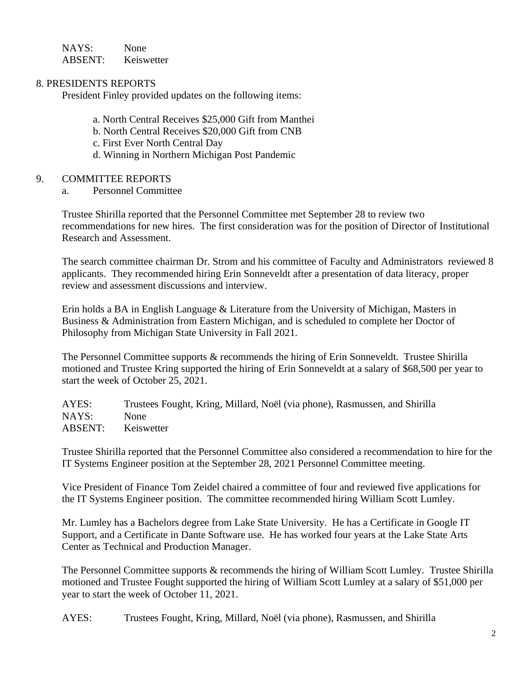NAYS: None ABSENT: Keiswetter

## 8. PRESIDENTS REPORTS

President Finley provided updates on the following items:

- a. North Central Receives \$25,000 Gift from Manthei
- b. North Central Receives \$20,000 Gift from CNB
- c. First Ever North Central Day
- d. Winning in Northern Michigan Post Pandemic

## 9. COMMITTEE REPORTS

a. Personnel Committee

Trustee Shirilla reported that the Personnel Committee met September 28 to review two recommendations for new hires. The first consideration was for the position of Director of Institutional Research and Assessment.

The search committee chairman Dr. Strom and his committee of Faculty and Administrators reviewed 8 applicants. They recommended hiring Erin Sonneveldt after a presentation of data literacy, proper review and assessment discussions and interview.

Erin holds a BA in English Language & Literature from the University of Michigan, Masters in Business & Administration from Eastern Michigan, and is scheduled to complete her Doctor of Philosophy from Michigan State University in Fall 2021.

The Personnel Committee supports & recommends the hiring of Erin Sonneveldt. Trustee Shirilla motioned and Trustee Kring supported the hiring of Erin Sonneveldt at a salary of \$68,500 per year to start the week of October 25, 2021.

AYES: Trustees Fought, Kring, Millard, Noël (via phone), Rasmussen, and Shirilla NAYS: None ABSENT: Keiswetter

Trustee Shirilla reported that the Personnel Committee also considered a recommendation to hire for the IT Systems Engineer position at the September 28, 2021 Personnel Committee meeting.

Vice President of Finance Tom Zeidel chaired a committee of four and reviewed five applications for the IT Systems Engineer position. The committee recommended hiring William Scott Lumley.

Mr. Lumley has a Bachelors degree from Lake State University. He has a Certificate in Google IT Support, and a Certificate in Dante Software use. He has worked four years at the Lake State Arts Center as Technical and Production Manager.

The Personnel Committee supports & recommends the hiring of William Scott Lumley. Trustee Shirilla motioned and Trustee Fought supported the hiring of William Scott Lumley at a salary of \$51,000 per year to start the week of October 11, 2021.

AYES: Trustees Fought, Kring, Millard, Noël (via phone), Rasmussen, and Shirilla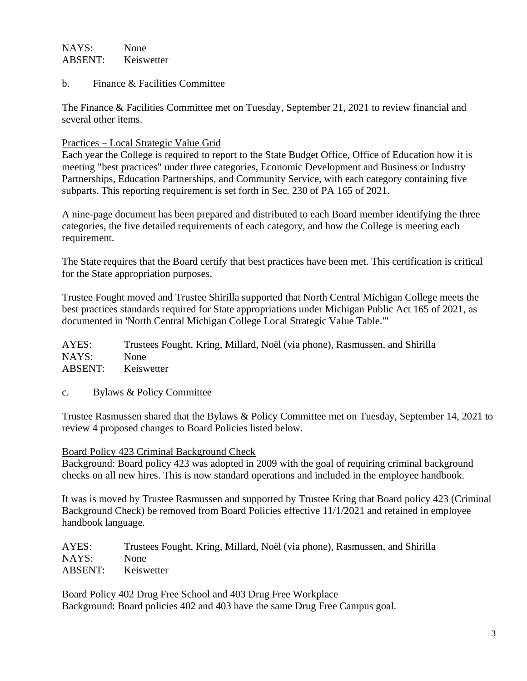# NAYS: None ABSENT: Keiswetter

b. Finance & Facilities Committee

The Finance & Facilities Committee met on Tuesday, September 21, 2021 to review financial and several other items.

## Practices – Local Strategic Value Grid

Each year the College is required to report to the State Budget Office, Office of Education how it is meeting "best practices" under three categories, Economic Development and Business or Industry Partnerships, Education Partnerships, and Community Service, with each category containing five subparts. This reporting requirement is set forth in Sec. 230 of PA 165 of 2021.

A nine-page document has been prepared and distributed to each Board member identifying the three categories, the five detailed requirements of each category, and how the College is meeting each requirement.

The State requires that the Board certify that best practices have been met. This certification is critical for the State appropriation purposes.

Trustee Fought moved and Trustee Shirilla supported that North Central Michigan College meets the best practices standards required for State appropriations under Michigan Public Act 165 of 2021, as documented in 'North Central Michigan College Local Strategic Value Table."'

AYES: Trustees Fought, Kring, Millard, Noël (via phone), Rasmussen, and Shirilla NAYS: None ABSENT: Keiswetter

c. Bylaws & Policy Committee

Trustee Rasmussen shared that the Bylaws & Policy Committee met on Tuesday, September 14, 2021 to review 4 proposed changes to Board Policies listed below.

Board Policy 423 Criminal Background Check

Background: Board policy 423 was adopted in 2009 with the goal of requiring criminal background checks on all new hires. This is now standard operations and included in the employee handbook.

It was is moved by Trustee Rasmussen and supported by Trustee Kring that Board policy 423 (Criminal Background Check) be removed from Board Policies effective 11/1/2021 and retained in employee handbook language.

AYES: Trustees Fought, Kring, Millard, Noël (via phone), Rasmussen, and Shirilla NAYS: None ABSENT: Keiswetter

Board Policy 402 Drug Free School and 403 Drug Free Workplace Background: Board policies 402 and 403 have the same Drug Free Campus goal.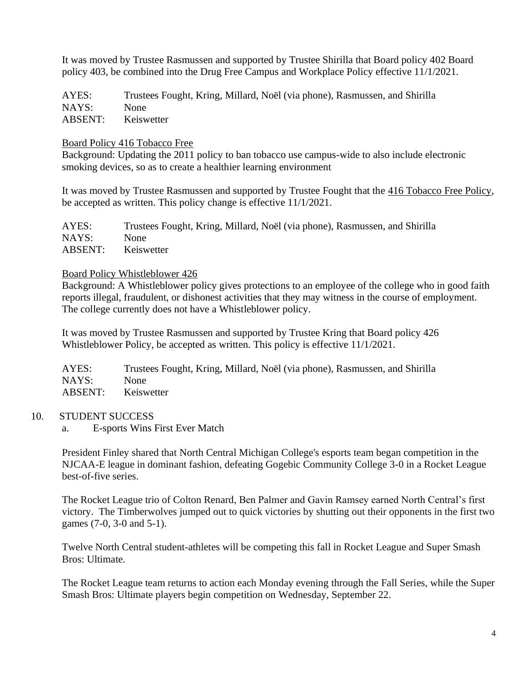It was moved by Trustee Rasmussen and supported by Trustee Shirilla that Board policy 402 Board policy 403, be combined into the Drug Free Campus and Workplace Policy effective 11/1/2021.

AYES: Trustees Fought, Kring, Millard, Noël (via phone), Rasmussen, and Shirilla NAYS: None ABSENT: Keiswetter

### Board Policy 416 Tobacco Free

Background: Updating the 2011 policy to ban tobacco use campus-wide to also include electronic smoking devices, so as to create a healthier learning environment

It was moved by Trustee Rasmussen and supported by Trustee Fought that the 416 Tobacco Free Policy, be accepted as written. This policy change is effective 11/1/2021.

| AYES:   | Trustees Fought, Kring, Millard, Noël (via phone), Rasmussen, and Shirilla |
|---------|----------------------------------------------------------------------------|
| NAYS:   | <b>None</b>                                                                |
| ABSENT: | Keiswetter                                                                 |

#### Board Policy Whistleblower 426

Background: A Whistleblower policy gives protections to an employee of the college who in good faith reports illegal, fraudulent, or dishonest activities that they may witness in the course of employment. The college currently does not have a Whistleblower policy.

It was moved by Trustee Rasmussen and supported by Trustee Kring that Board policy 426 Whistleblower Policy, be accepted as written. This policy is effective 11/1/2021.

AYES: Trustees Fought, Kring, Millard, Noël (via phone), Rasmussen, and Shirilla NAYS: None ABSENT: Keiswetter

### 10. STUDENT SUCCESS

a. E-sports Wins First Ever Match

President Finley shared that North Central Michigan College's esports team began competition in the NJCAA-E league in dominant fashion, defeating Gogebic Community College 3-0 in a Rocket League best-of-five series.

The Rocket League trio of Colton Renard, Ben Palmer and Gavin Ramsey earned North Central's first victory. The Timberwolves jumped out to quick victories by shutting out their opponents in the first two games (7-0, 3-0 and 5-1).

Twelve North Central student-athletes will be competing this fall in Rocket League and Super Smash Bros: Ultimate.

The Rocket League team returns to action each Monday evening through the Fall Series, while the Super Smash Bros: Ultimate players begin competition on Wednesday, September 22.